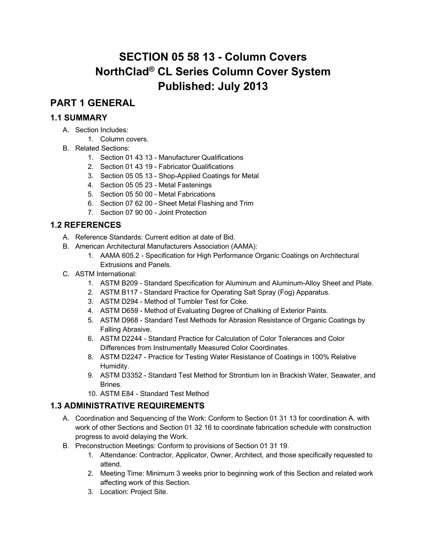# **SECTION 05 58 13 - Column Covers NorthClad® CL Series Column Cover System Published: July 2013**

# **PART 1 GENERAL**

### **1.1 SUMMARY**

- A. Section Includes:
	- 1. Column covers.
- B. Related Sections:
	- 1. Section 01 43 13 Manufacturer Qualifications
	- 2. Section 01 43 19 Fabricator Qualifications
	- 3. Section 05 05 13 Shop-Applied Coatings for Metal
	- 4. Section 05 05 23 Metal Fastenings
	- 5. Section 05 50 00 Metal Fabrications
	- 6. Section 07 62 00 Sheet Metal Flashing and Trim
	- 7. Section 07 90 00 Joint Protection

### **1.2 REFERENCES**

- A. Reference Standards: Current edition at date of Bid.
- B. American Architectural Manufacturers Association (AAMA):
	- 1. AAMA 605.2 Specification for High Performance Organic Coatings on Architectural Extrusions and Panels.
- C. ASTM International:
	- 1. ASTM B209 Standard Specification for Aluminum and Aluminum-Alloy Sheet and Plate.
	- 2. ASTM B117 Standard Practice for Operating Salt Spray (Fog) Apparatus.
	- 3. ASTM D294 Method of Tumbler Test for Coke.
	- 4. ASTM D659 Method of Evaluating Degree of Chalking of Exterior Paints.
	- 5. ASTM D968 Standard Test Methods for Abrasion Resistance of Organic Coatings by Falling Abrasive.
	- 6. ASTM D2244 Standard Practice for Calculation of Color Tolerances and Color Differences from Instrumentally Measured Color Coordinates.
	- 8. ASTM D2247 Practice for Testing Water Resistance of Coatings in 100% Relative Humidity.
	- 9. ASTM D3352 Standard Test Method for Strontium Ion in Brackish Water, Seawater, and **Brines**
	- 10. ASTM E84 Standard Test Method

#### **1.3 ADMINISTRATIVE REQUIREMENTS**

- A. Coordination and Sequencing of the Work: Conform to Section 01 31 13 for coordination A. with work of other Sections and Section 01 32 16 to coordinate fabrication schedule with construction progress to avoid delaying the Work.
- B. Preconstruction Meetings: Conform to provisions of Section 01 31 19.
	- 1. Attendance: Contractor, Applicator, Owner, Architect, and those specifically requested to attend.
	- 2. Meeting Time: Minimum 3 weeks prior to beginning work of this Section and related work affecting work of this Section.
	- 3. Location: Project Site.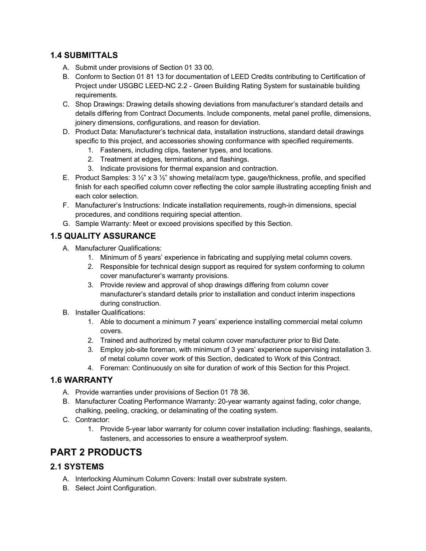#### **1.4 SUBMITTALS**

- A. Submit under provisions of Section 01 33 00.
- B. Conform to Section 01 81 13 for documentation of LEED Credits contributing to Certification of Project under USGBC LEED-NC 2.2 - Green Building Rating System for sustainable building requirements.
- C. Shop Drawings: Drawing details showing deviations from manufacturer's standard details and details differing from Contract Documents. Include components, metal panel profile, dimensions, joinery dimensions, configurations, and reason for deviation.
- D. Product Data: Manufacturer's technical data, installation instructions, standard detail drawings specific to this project, and accessories showing conformance with specified requirements.
	- 1. Fasteners, including clips, fastener types, and locations.
	- 2. Treatment at edges, terminations, and flashings.
	- 3. Indicate provisions for thermal expansion and contraction.
- E. Product Samples:  $3\frac{1}{2}$  x  $3\frac{1}{2}$  showing metal/acm type, gauge/thickness, profile, and specified finish for each specified column cover reflecting the color sample illustrating accepting finish and each color selection.
- F. Manufacturer's Instructions: Indicate installation requirements, rough-in dimensions, special procedures, and conditions requiring special attention.
- G. Sample Warranty: Meet or exceed provisions specified by this Section.

### **1.5 QUALITY ASSURANCE**

- A. Manufacturer Qualifications:
	- 1. Minimum of 5 years' experience in fabricating and supplying metal column covers.
	- 2. Responsible for technical design support as required for system conforming to column cover manufacturer's warranty provisions.
	- 3. Provide review and approval of shop drawings differing from column cover manufacturer's standard details prior to installation and conduct interim inspections during construction.
- B. Installer Qualifications:
	- 1. Able to document a minimum 7 years' experience installing commercial metal column covers.
	- 2. Trained and authorized by metal column cover manufacturer prior to Bid Date.
	- 3. Employ job-site foreman, with minimum of 3 years' experience supervising installation 3. of metal column cover work of this Section, dedicated to Work of this Contract.
	- 4. Foreman: Continuously on site for duration of work of this Section for this Project.

#### **1.6 WARRANTY**

- A. Provide warranties under provisions of Section 01 78 36.
- B. Manufacturer Coating Performance Warranty: 20-year warranty against fading, color change, chalking, peeling, cracking, or delaminating of the coating system.
- C. Contractor:
	- 1. Provide 5-year labor warranty for column cover installation including: flashings, sealants, fasteners, and accessories to ensure a weatherproof system.

# **PART 2 PRODUCTS**

#### **2.1 SYSTEMS**

- A. Interlocking Aluminum Column Covers: Install over substrate system.
- B. Select Joint Configuration.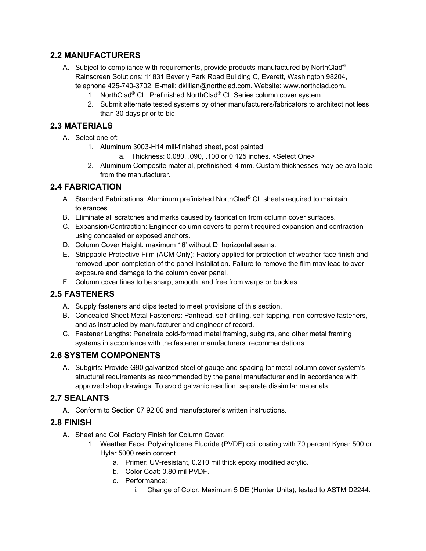#### **2.2 MANUFACTURERS**

- A. Subject to compliance with requirements, provide products manufactured by NorthClad<sup>®</sup> Rainscreen Solutions: 11831 Beverly Park Road Building C, Everett, Washington 98204, telephone 425-740-3702, E-mail: dkillian@northclad.com. Website: www.northclad.com.
	- 1. NorthClad® CL: Prefinished NorthClad® CL Series column cover system.
	- 2. Submit alternate tested systems by other manufacturers/fabricators to architect not less than 30 days prior to bid.

#### **2.3 MATERIALS**

- A. Select one of:
	- 1. Aluminum 3003-H14 mill-finished sheet, post painted.
		- a. Thickness: 0.080, .090, .100 or 0.125 inches. <Select One>
	- 2. Aluminum Composite material, prefinished: 4 mm. Custom thicknesses may be available from the manufacturer.

#### **2.4 FABRICATION**

- A. Standard Fabrications: Aluminum prefinished NorthClad® CL sheets required to maintain tolerances.
- B. Eliminate all scratches and marks caused by fabrication from column cover surfaces.
- C. Expansion/Contraction: Engineer column covers to permit required expansion and contraction using concealed or exposed anchors.
- D. Column Cover Height: maximum 16' without D. horizontal seams.
- E. Strippable Protective Film (ACM Only): Factory applied for protection of weather face finish and removed upon completion of the panel installation. Failure to remove the film may lead to overexposure and damage to the column cover panel.
- F. Column cover lines to be sharp, smooth, and free from warps or buckles.

#### **2.5 FASTENERS**

- A. Supply fasteners and clips tested to meet provisions of this section.
- B. Concealed Sheet Metal Fasteners: Panhead, self-drilling, self-tapping, non-corrosive fasteners, and as instructed by manufacturer and engineer of record.
- C. Fastener Lengths: Penetrate cold-formed metal framing, subgirts, and other metal framing systems in accordance with the fastener manufacturers' recommendations.

#### **2.6 SYSTEM COMPONENTS**

A. Subgirts: Provide G90 galvanized steel of gauge and spacing for metal column cover system's structural requirements as recommended by the panel manufacturer and in accordance with approved shop drawings. To avoid galvanic reaction, separate dissimilar materials.

#### **2.7 SEALANTS**

A. Conform to Section 07 92 00 and manufacturer's written instructions.

#### **2.8 FINISH**

- A. Sheet and Coil Factory Finish for Column Cover:
	- 1. Weather Face: Polyvinylidene Fluoride (PVDF) coil coating with 70 percent Kynar 500 or Hylar 5000 resin content.
		- a. Primer: UV-resistant, 0.210 mil thick epoxy modified acrylic.
		- b. Color Coat: 0.80 mil PVDF.
		- c. Performance:
			- i. Change of Color: Maximum 5 DE (Hunter Units), tested to ASTM D2244.